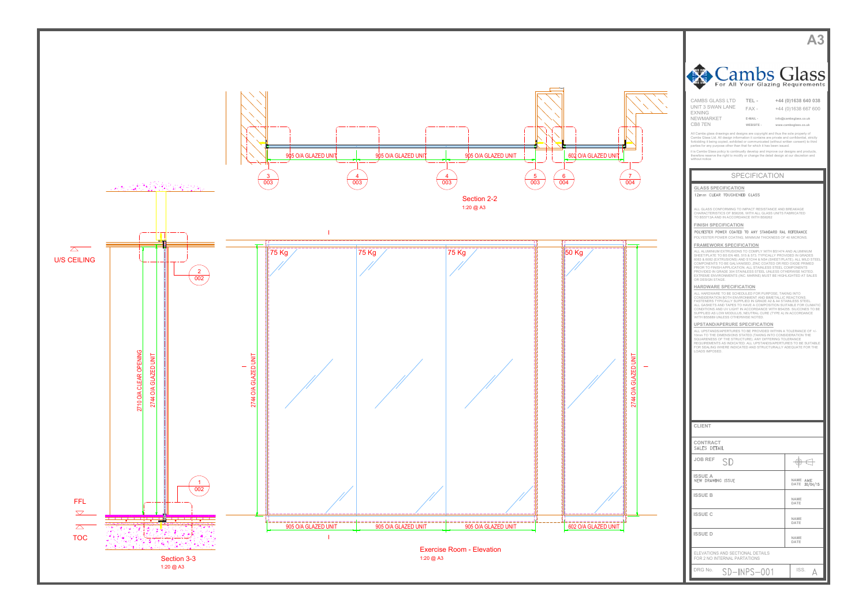



| Cambs Glass                                                                                                                                                                                                                                                                                                                                         |                                               |  |  |
|-----------------------------------------------------------------------------------------------------------------------------------------------------------------------------------------------------------------------------------------------------------------------------------------------------------------------------------------------------|-----------------------------------------------|--|--|
| For All Your Glazing Requirements                                                                                                                                                                                                                                                                                                                   |                                               |  |  |
| <b>CAMBS GLASS LTD</b><br>TEL-<br>UNIT 3 SWAN LANE<br>$FAX -$                                                                                                                                                                                                                                                                                       | +44 (0)1638 640 038<br>+44 (0)1638 667 600    |  |  |
| <b>EXNING</b><br><b>NEWMARKET</b><br>E-MAIL -<br>CB8 7EN<br>WEBSITE -                                                                                                                                                                                                                                                                               | info@cambsglass.co.uk<br>www.cambsglass.co.uk |  |  |
| All Cambs glass drawings and designs are copyright and thus the sole property of<br>Cambs Glass Ltd. All design information it contains are private and confidential, strictly<br>forbidding it being copied, exhibited or communicated (without written consent) to third<br>parties for any purpose other than that for which it has been issued. |                                               |  |  |
| it is Cambs Glass policy to continually develop and improve our designs and products,<br>therefore reserve the right to modify or change the detail design at our discretion and<br>without notice                                                                                                                                                  |                                               |  |  |
| <b>SPECIFICATION</b>                                                                                                                                                                                                                                                                                                                                |                                               |  |  |
| <b>GLASS SPECIFICATION</b><br>12mm CLEAR TOUGHENED GLASS                                                                                                                                                                                                                                                                                            |                                               |  |  |
| ALL GLASS CONFORMING TO IMPACT RESISTANCE AND BREAKAGE<br>CHARACTERISTICS OF BS6206, WITH ALL GLASS UNITS FABRICATED                                                                                                                                                                                                                                |                                               |  |  |
| TO BS5713A AND IN ACCORDANCE WITH BS6262<br><b>FINISH SPECIFICATION</b><br>POLYESTER POWER COATED TO ANY STANDARD RAL REFERANCE                                                                                                                                                                                                                     |                                               |  |  |
| POLYESTER POWER COATING, MINIMUM THICKNESS OF 40 MICRONS.<br><b>FRAMEWORK SPECIFICATION</b>                                                                                                                                                                                                                                                         |                                               |  |  |
| ALL ALUMINIUM EXTRUSIONS TO COMPLY WITH BS1474 AND ALUMINIUM<br>SHEET/PLATE TO BS EN 485, 515 & 573. TYPICALLY PROVIDED IN GRADES<br>6063 & 6082 (EXTRUSIONS) AND S1CH4 & NS4 (SHEET/PLATE). ALL MILD STEEL<br>COMPONENTS TO BE GALVANISED, ZINC COATED OR RED OXIDE PRIMED                                                                         |                                               |  |  |
| PRIOR TO FINISH APPLICATION. ALL STAINLESS STEEL COMPONENTS<br>PROVIDED IN GRADE 304 STAINLESS STEEL UNLESS OTHERWISE NOTED.<br>EXTREME ENVIRONMENTS (INC. MARINE) MUST BE HIGHLIGHTED AT SALES<br>OR DESIGN STAGE.                                                                                                                                 |                                               |  |  |
| <b>HARDWARE SPECIFICATION</b><br>ALL HARDWARE TO BE SCHEDULED FOR PURPOSE, TAKING INTO<br>CONSIDERATION BOTH ENVIRONMENT AND BIMETALLIC REACTIONS.                                                                                                                                                                                                  |                                               |  |  |
| FASTENERS TYPICALLY SUPPLIED IN GRADE A2 & A4 STAINLESS STEEL.<br>ALL GASKETS AND TAPES TO HAVE A COMPOSITION SUITABLE FOR CLIMATIC<br>CONDITIONS AND UV LIGHT IN ACCORDANCE WITH BS4255, SILICONES TO BE<br>SUPPLIED AS LOW MODULUS, NEUTRAL CURE (TYPE A) IN ACCORDANCE                                                                           |                                               |  |  |
| WITH BS5889 UNLESS OTHERWISE NOTED.<br>UPSTAND/APERURE SPECIFICATION<br>ALL UPSTANDS/APERTURES TO BE PROVIDED WITHIN A TOLERANCE OF +/-                                                                                                                                                                                                             |                                               |  |  |
| 10mm TO THE DIMENSIONS STATED (TAKING INTO CONSIDERATION THE<br>SQUARENESS OF THE STRUCTURE). ANY DIFFERING TOLERANCE<br>REQUIREMENTS AS INDICATED. ALL UPSTANDS/APERTURES TO BE SUITABLE<br>FOR SEALING WHERE INDICATED AND STRUCTURALLY ADEQUATE FOR THE                                                                                          |                                               |  |  |
| LOADS IMPOSED.                                                                                                                                                                                                                                                                                                                                      |                                               |  |  |
|                                                                                                                                                                                                                                                                                                                                                     |                                               |  |  |
|                                                                                                                                                                                                                                                                                                                                                     |                                               |  |  |
|                                                                                                                                                                                                                                                                                                                                                     |                                               |  |  |
| <b>CLIENT</b>                                                                                                                                                                                                                                                                                                                                       |                                               |  |  |
| CONTRACT<br>SALES DETAIL                                                                                                                                                                                                                                                                                                                            |                                               |  |  |
| <b>JOB REF</b><br>SD                                                                                                                                                                                                                                                                                                                                | Ð                                             |  |  |
| <b>ISSUE A</b><br><b>NEW DRAWING ISSUE</b>                                                                                                                                                                                                                                                                                                          | NAME AME<br><b>DATE</b><br>30/04/15           |  |  |
| <b>ISSUE B</b>                                                                                                                                                                                                                                                                                                                                      | NAME<br>DATE                                  |  |  |
| <b>ISSUE C</b>                                                                                                                                                                                                                                                                                                                                      | NAME<br>DATE                                  |  |  |
| <b>ISSUED</b>                                                                                                                                                                                                                                                                                                                                       | NAME<br>DATE                                  |  |  |
| ELEVATIONS AND SECTIONAL DETAILS<br>FOR 2 NO INTERNAL PARTATIONS                                                                                                                                                                                                                                                                                    |                                               |  |  |
| DRG No.<br>SD-INPS-001                                                                                                                                                                                                                                                                                                                              | ISS.<br>А                                     |  |  |

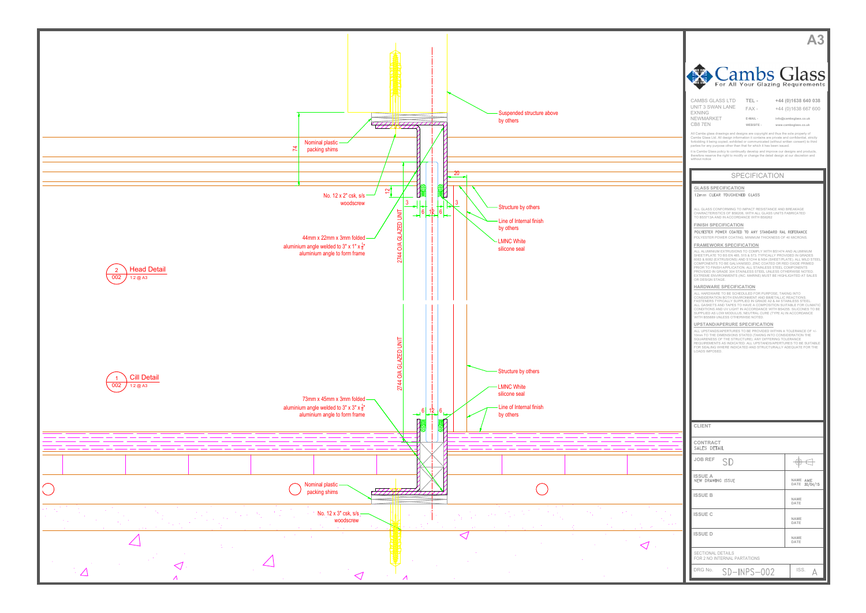



| <b>ECTIONAL DETAILS</b><br>OR 2 NO INTERNAL PARTATIONS |              |  |  |
|--------------------------------------------------------|--------------|--|--|
| RG No.                                                 | $SD-NPS-002$ |  |  |

**DATE**<br> **NAME**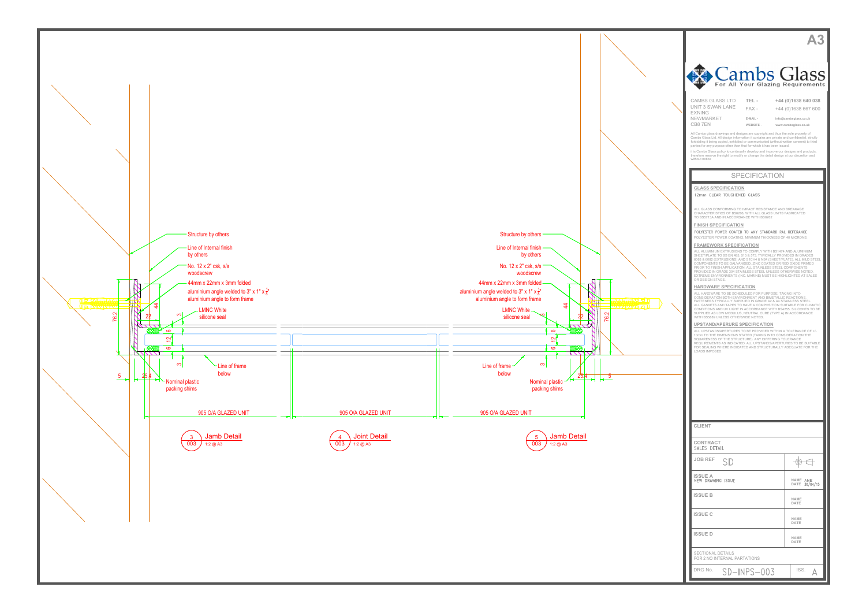



| Cambs Glass<br>For All Your Glazing Requirements                                                                                                                                                                                                                                                                               |                                                                      |  |
|--------------------------------------------------------------------------------------------------------------------------------------------------------------------------------------------------------------------------------------------------------------------------------------------------------------------------------|----------------------------------------------------------------------|--|
| <b>CAMBS GLASS LTD</b><br>TEL-<br>UNIT 3 SWAN LANE                                                                                                                                                                                                                                                                             | +44 (0)1638 640 038                                                  |  |
| $FAX -$<br><b>EXNING</b><br><b>NEWMARKET</b><br>E-MAIL -<br>CB87EN<br>WEBSITE -                                                                                                                                                                                                                                                | +44 (0)1638 667 600<br>info@cambsglass.co.uk<br>www.cambsglass.co.uk |  |
| All Cambs glass drawings and designs are copyright and thus the sole property of<br>Cambs Glass Ltd. All design information it contains are private and confidential, strictly<br>forbidding it being copied, exhibited or communicated (without written consent) to third                                                     |                                                                      |  |
| parties for any purpose other than that for which it has been issued.<br>it is Cambs Glass policy to continually develop and improve our designs and products,<br>therefore reserve the right to modify or change the detail design at our discretion and<br>without notice                                                    |                                                                      |  |
| <b>SPECIFICATION</b>                                                                                                                                                                                                                                                                                                           |                                                                      |  |
| <b>GLASS SPECIFICATION</b>                                                                                                                                                                                                                                                                                                     |                                                                      |  |
| 12mm CLEAR TOUGHENED GLASS<br>ALL GLASS CONFORMING TO IMPACT RESISTANCE AND BREAKAGE                                                                                                                                                                                                                                           |                                                                      |  |
| CHARACTERISTICS OF BS6206, WITH ALL GLASS UNITS FABRICATED<br>TO BS5713A AND IN ACCORDANCE WITH BS6262                                                                                                                                                                                                                         |                                                                      |  |
| <b>FINISH SPECIFICATION</b><br>POLYESTER POWER COATED TO ANY STANDARD RAL REFERANCE<br>POLYESTER POWER COATING, MINIMUM THICKNESS OF 40 MICRONS.                                                                                                                                                                               |                                                                      |  |
| <b>FRAMEWORK SPECIFICATION</b><br>ALL ALUMINIUM EXTRUSIONS TO COMPLY WITH BS1474 AND ALUMINIUM<br>SHEET/PLATE TO BS EN 485, 515 & 573. TYPICALLY PROVIDED IN GRADES                                                                                                                                                            |                                                                      |  |
| 6063 & 6082 (EXTRUSIONS) AND S1CH4 & NS4 (SHEET/PLATE). ALL MILD STEEL<br>COMPONENTS TO BE GALVANISED, ZINC COATED OR RED OXIDE PRIMED<br>PRIOR TO FINISH APPLICATION. ALL STAINLESS STEEL COMPONENTS<br>PROVIDED IN GRADE 304 STAINLESS STEEL UNLESS OTHERWISE NOTED.                                                         |                                                                      |  |
| EXTREME ENVIRONMENTS (INC. MARINE) MUST BE HIGHLIGHTED AT SALES<br>OR DESIGN STAGE.<br>HARDWARE SPECIFICATION                                                                                                                                                                                                                  |                                                                      |  |
| ALL HARDWARE TO BE SCHEDULED FOR PURPOSE, TAKING INTO<br>CONSIDERATION BOTH ENVIRONMENT AND BIMETALLIC REACTIONS.<br>FASTENERS TYPICALLY SUPPLIED IN GRADE A2 & A4 STAINLESS STEEL.<br>ALL GASKETS AND TAPES TO HAVE A COMPOSITION SUITABLE FOR CLIMATIC<br>CONDITIONS AND UV LIGHT IN ACCORDANCE WITH BS4255. SILICONES TO BE |                                                                      |  |
| SUPPLIED AS LOW MODULUS, NEUTRAL CURE (TYPE A) IN ACCORDANCE<br>WITH BS5889 UNLESS OTHERWISE NOTED.<br>UPSTAND/APERURE SPECIFICATION                                                                                                                                                                                           |                                                                      |  |
| ALL UPSTANDS/APERTURES TO BE PROVIDED WITHIN A TOLERANCE OF +/-<br>10mm TO THE DIMENSIONS STATED (TAKING INTO CONSIDERATION THE<br>SQUARENESS OF THE STRUCTURE). ANY DIFFERING TOLERANCE                                                                                                                                       |                                                                      |  |
| REQUIREMENTS AS INDICATED. ALL UPSTANDS/APERTURES TO BE SUITABLE<br>FOR SEALING WHERE INDICATED AND STRUCTURALLY ADEQUATE FOR THE<br>LOADS IMPOSED.                                                                                                                                                                            |                                                                      |  |
|                                                                                                                                                                                                                                                                                                                                |                                                                      |  |
|                                                                                                                                                                                                                                                                                                                                |                                                                      |  |
|                                                                                                                                                                                                                                                                                                                                |                                                                      |  |
| <b>CLIENT</b>                                                                                                                                                                                                                                                                                                                  |                                                                      |  |
| CONTRACT                                                                                                                                                                                                                                                                                                                       |                                                                      |  |
| SALES DETAIL<br><b>JOB REF</b>                                                                                                                                                                                                                                                                                                 |                                                                      |  |
| SD                                                                                                                                                                                                                                                                                                                             | Ð                                                                    |  |
| <b>ISSUE A</b><br><b>NEW DRAWING ISSUE</b>                                                                                                                                                                                                                                                                                     | NAME AME<br><b>DATE</b><br>30/04/15                                  |  |
| <b>ISSUE B</b>                                                                                                                                                                                                                                                                                                                 | <b>NAME</b><br>DATE                                                  |  |
| <b>ISSUE C</b>                                                                                                                                                                                                                                                                                                                 | NAME<br>DATE                                                         |  |
| <b>ISSUE D</b>                                                                                                                                                                                                                                                                                                                 | NAME<br>DATE                                                         |  |
| <b>SECTIONAL DETAILS</b><br>FOR 2 NO INTERNAL PARTATIONS                                                                                                                                                                                                                                                                       |                                                                      |  |
| DRG No.<br>SD-INPS-003                                                                                                                                                                                                                                                                                                         | ISS.<br>Д                                                            |  |